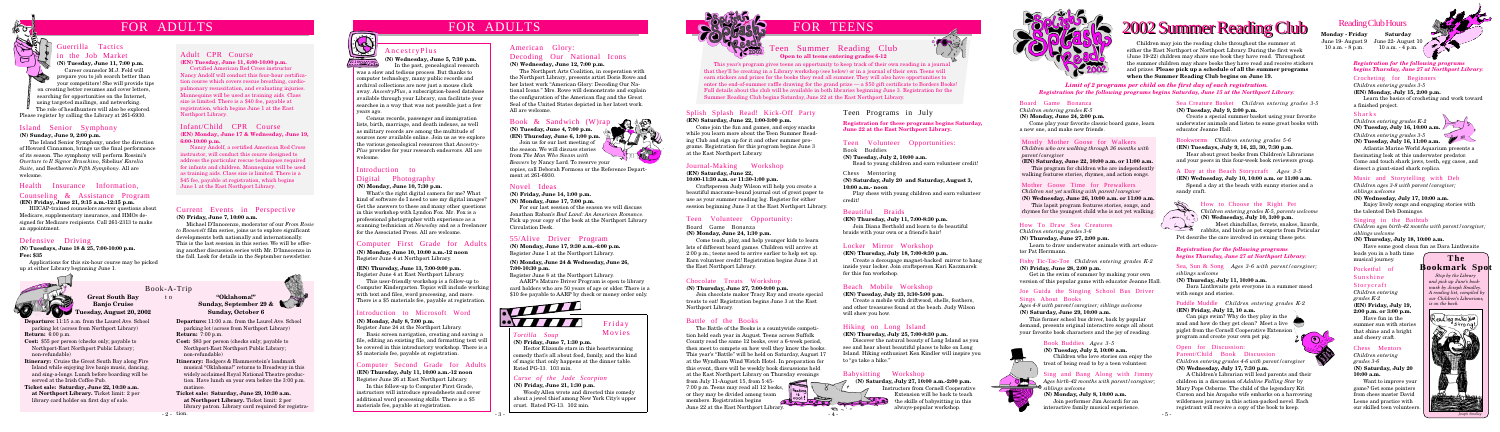## FOR ADULTS

**Departure:** 11:15 a.m. from the Laurel Ave. School parking lot (across from Northport Library) **Return:** 6:00 p.m.

**Cost:** \$55 per person (checks only; payable to Northport-East Northport Public Library; non-refundable)

**Itinerary:** Cruise the Great South Bay along Fire Island while enjoying live banjo music, dancing, and sing-a-longs. Lunch before boarding will be served at the Irish Coffee Pub.

**Ticket sale: Saturday, June 22, 10:30 a.m. at Northport Library.** Ticket limit: 2 per library card holder on first day of sale.

Book-A-Trip **Great South Bay Banjo Cruise Tuesday, August 20, 2002**

## FOR ADULTS

#### Introduction to Digital Photography

#### Novel Ideas

**(N) Friday, June 14, 1:00 p.m.**

**(N) Monday, June 17, 7:00 p.m.**

For our last session of the season we will discuss Jonathan Raban's *Bad Land: An American Romance*. Pick up your copy of the book at the Northport Library Circulation Desk.

#### Book & Sandwich (W)rap

**(N) Tuesday, June 4, 7:00 p.m. (EN) Thursday, June 6, 1:00 p.m.** Join us for our last meeting of

the season. We will discuss stories from *The Man Who Swam with*

*Beavers* by Nancy Lord. To reserve your copies, call Deborah Formosa or the Reference Department at 261-6930.

#### AncestryPlus

**(N) Wednesday, June 5, 7:30 p.m.**

#### **(N) Monday, June 10, 7:30 p.m.**

What's the right digital camera for me? What kind of software do I need to use my digital images? Get the answers to these and many other questions in this workshop with Lyndon Fox. Mr. Fox is a professional photographer with experience as a scanning technician at *Newsday* and as a freelancer for the Associated Press. All are welcome.

#### Teen Volunteer Opportunity:

Board Game Bonanza

#### **(N) Monday, June 24, 1:30 p.m.**

Come teach, play, and help younger kids to learn lots of different board games. Children will arrive at 2:00 p.m.; teens need to arrive earlier to help set up. Earn volunteer credit! Registration begins June 3 at the East Northport Library.

# FOR TEENS

#### Health Insurance Information, Counseling & Assistance Program **(EN) Friday, June 21, 9:15 a.m.-12:15 p.m.**

HIICAP-trained counselors answer questions about Medicare, supplementary insurance, and HMOs designed for Medicare recipients. Call 261-2313 to make an appointment.

This year's program gives teens an opportunity to keep track of their own reading in a journal that they'll be creating in a Library workshop (see below) or in a journal of their own. Teens will earn stickers and prizes for the books they read all summer. They will also have opportunities to enter the end-of-summer raffle drawing for the grand prize — a \$50 gift certificate to Borders Books! Full details about the club will be available in both libraries beginning June 3. Registration for the Summer Reading Club begins Saturday, June 22 at the East Northport Library.

#### Splish Splash Read! Kick-Off Party

#### **(EN) Saturday, June 22, 1:00-3:00 p.m.**

Come join the fun and games, and enjoy snacks while you learn more about the Teen Summer Reading Club and sign up for it and other summer programs. Registration for this program begins June 3 at the East Northport Library.

#### Journal-Making Workshop

**(EN) Saturday, June 22,**

**10:00-11:30 a.m. or 11:30-1:00 p.m.**

Craftsperson Judy Wilson will help you create a beautiful macrame-bound journal out of great paper to use as your summer reading log. Register for either session beginning June 3 at the East Northport Library.

#### Battle of the Books

The Battle of the Books is a countywide competition held each year in August. Teens across Suffolk County read the same 12 books, over a 6-week period, then meet to compete on how well they know the books. This year's "Battle" will be held on Saturday, August 17 at the Wyndham Wind Watch Hotel. In preparation for this event, there will be weekly book discussions held at the East Northport Library on Thursday evenings from July 11-August 15, from 5:45- 7:00 p.m. Teens may read all 12 books, or they may be divided among team members. Registration begins June 22 at the East Northport Library.

#### Chocolate Treats Workshop

#### **(N) Thursday, June 27, 7:00-9:00 p.m.**

Join chocolate maker Tracy Ray and create special treats to eat! Registration begins June 3 at the East Northport Library.

#### Teen Programs in July

#### Teen Volunteer Opportunities:

#### Book Buddies

**(N) Tuesday, July 2, 10:00 a.m.**

Read to young children and earn volunteer credit!

#### Chess Mentoring

**(N) Saturday, July 20 and Saturday, August 3, 10:00 a.m.- noon**

Play chess with young children and earn volunteer credit!

**Registration for these programs begins Saturday, June 22 at the East Northport Library.**

> *Ages birth-42 months with parent/caregiver;* Ages birth 2

#### Beautiful Braids

**(EN) Thursday, July 11, 7:00-8:30 p.m.**

Join Diana Berthold and learn to do beautiful braids with your own or a friend's hair!

#### Locker Mirror Workshop

#### **(EN) Thursday, July 18, 7:00-8:30 p.m.**

Create a decoupage magnet-backed mirror to hang inside your locker. Join craftsperson Kari Kaczmarek for this fun workshop.

#### Beach Mobile Workshop

**(EN) Tuesday, July 23, 3:30-5:00 p.m.**

Create a mobile with driftwood, shells, feathers, and other treasures found at the beach. Judy Wilson will show you how.

#### Hiking on Long Island

**(EN) Thursday, July 25, 7:00-8:30 p.m.**

Discover the natural beauty of Long Island as you see and hear about beautiful places to hike on Long Island. Hiking enthusiast Ken Kindler will inspire you to "go take a hike."

#### Babysitting Workshop

**(N) Saturday, July 27, 10:00 a.m.-2:00 p.m.**

Instructors from Cornell Cooperative Extension will be back to teach the skills of babysitting in this always-popular workshop.





**Departure:** 11:00 a.m. from the Laurel Ave. School parking lot (across from Northport Library) **Return:** 7:00 p.m.

#### **Cost:** \$83 per person (checks only; payable to Northport-East Northport Public Library; non-refundable)

**Itinerary:** Rodgers & Hammerstein's landmark musical "Oklahoma!" returns to Broadway in this widely acclaimed Royal National Theatre production. Have lunch on your own before the 3:00 p.m. matinee.

**Ticket sale: Saturday, June 29, 10:30 a.m. at Northport Library.** Ticket limit: 2 per library patron. Library card required for registra-



#### **"Oklahoma!" Sunday, September 29 & Sunday, October 6**

#### Island Senior Symphony

#### **(N) Sunday, June 9, 2:00 p.m.**

The Island Senior Symphony, under the direction of Howard Cinnamon, brings us the final performance of its season. The symphony will perform Rossini's *Overture to Il Signor Bruschino*, Sibelius' *Karelia Suite*, and Beethoven's *Fifth Symphony*. All are welcome.

### Guerrilla Tactics in the Job Market

**(N) Tuesday, June 11, 7:00 p.m.** Career counselor M.J. Feld will prepare you to job search better than your competitors! She will provide tips on creating better resumes and cover letters, searching for opportunities on the Internet, using targeted mailings, and networking. The role of headhunters will also be explored.

Please register by calling the Library at 261-6930.

#### Computer First Grade for Adults

**(N) Monday, June 10, 10:00 a.m.-12 noon** Register June 4 at Northport Library.

#### **(EN) Thursday, June 13, 7:00-9:00 p.m.** Register June 4 at East Northport Library.

This user-friendly workshop is a follow-up to Computer Kindergarten. Topics will include working with text and files, word processing, and more. There is a \$5 materials fee, payable at registration.

#### Introduction to Microsoft Word

#### **(N) Monday, July 8, 7:00 p.m.**

Register June 24 at the Northport Library.

Basic screen navigation, creating and saving a file, editing an existing file, and formatting text will be covered in this introductory workshop. There is a \$5 materials fee, payable at registration.

# 2002 Summer Reading Club 2002 Summer Reading Club

### Adult CPR Course

**(EN) Tuesday, June 11, 6:00-10:00 p.m.** Certified American Red Cross instructor

Nancy Andolf will conduct this four-hour certification course which covers rescue breathing, cardiopulmonary resuscitation, and evaluating injuries. Mannequins will be used as training aids. Class size is limited. There is a \$40 fee, payable at registration, which begins June 1 at the East Northport Library.

#### Infant/Child CPR Course

#### **(EN) Monday, June 17 & Wednesday, June 19, 6:00-10:00 p.m.**

Nancy Andolf, a certified American Red Cross instructor, will conduct this course designed to address the particular rescue techniques required for infants and children. Mannequins will be used as training aids. Class size is limited. There is a \$45 fee, payable at registration, which begins June 1 at the East Northport Library.

In the past, genealogical research was a slow and tedious process. But thanks to computer technology, many public records and archival collections are now just a mouse click away. *AncestryPlus*, a subscription-based database available through your Library, can facilitate your searches in a way that was not possible just a few years ago.



#### Mother Goose Time for Prewalkers

*Children not yet walking with parent/caregiver* **(N) Wednesday, June 26, 10:00 a.m. or 11:00 a.m.**

This lapsit program features stories, songs, and rhymes for the youngest child who is not yet walking.

#### Board Game Bonanza

*Children entering grades K-5*

**(N) Monday, June 24, 2:00 p.m.**

Come play your favorite classic board game, learn a new one, and make new friends.

#### Mostly Mother Goose for Walkers

*Children who are walking through 36 months with parent/caregiver*

**(EN) Saturday, June 22, 10:00 a.m. or 11:00 a.m.** This program for children who are independently walking features stories, rhymes, and action songs.

#### *Limit of 2 programs per child on the first day of each registration. Registration for the following programs begins Saturday, June 15 at the Northport Library:*

#### Sing and Bang Along with Jimmy

#### **(N) Monday, July 8, 10:00 a.m.** Join performer Jim Accardi for an interactive family musical experience.

#### How To Draw Sea Creatures

*Children entering grades 3-6*

**(N) Thursday, June 27, 2:00 p.m.**

Learn to draw underwater animals with art educator Pat Herrmann.

#### Fishy Tic-Tac-Toe *Children entering grades K-2*

**(N) Friday, June 28, 2:00 p.m.**

Get in the swim of summer by making your own version of this popular game with educator Jeanne Hall.

#### Joe Guida the Singing School Bus Driver Sings About Books

*Ages 4-8 with parent/caregiver; siblings welcome* **(N) Saturday, June 29, 10:00 a.m.**

This former school bus driver, back by popular demand, presents original interactive songs all about your favorite book characters and the joy of reading.

#### Book Buddies *Ages 3-5*

**(N) Tuesday, July 2, 10:00 a.m.** Children who love stories can enjoy the treat of being read to by a teen volunteer.

#### American Glory: Decoding Our National Icons

#### **(N) Wednesday, June 12, 7:00 p.m.**

The Northport Arts Coalition, in cooperation with the Northport Library, presents artist Doris Rowe and her latest work "American Glory: Decoding Our National Icons." Mrs. Rowe will demonstrate and explain the configuration of the American flag and the Great Seal of the United States depicted in her latest work. All are welcome.

#### *Registration for the following programs begins Thursday, June 27 at Northport Library:*



#### *Tortilla Soup*

**(N) Friday, June 7, 1:30 p.m.** Hector Elizondo stars in this heartwarming

comedy that's all about food, family, and the kind of magic that only happens at the dinner table. Rated PG-13. 103 min.

Friday Movies

#### *Curse of the Jade Scorpion*

**(N) Friday, June 21, 1:30 p.m.**

Woody Allen wrote and directed this comedy about a jewel thief among New York City's upper crust. Rated PG-13. 102 min.



#### Chess Mentors

*Children entering grades 3-6* **(N) Saturday, July 20 10:00 a.m.**

Want to improve your game? Get some pointers from chess master David Leone and practice with our skilled teen volunteers.

#### Pocketful of

Sunshine Storycraft *Children entering grades K-2* **(EN) Friday, July 19, 2:00 p.m. or 3:00 p.m.** Have fun in the summer sun with stories

that shine and a bright and cheery craft.

#### Singing in the Bathtub

*Children ages birth-42 months with parent/caregiver; siblings welcome*

#### **(N) Thursday, July 18, 10:00 a.m.**

Have some good clean fun as Dara Linthwaite

leads you in a bath time musical journey.

#### Music and Storytelling with Deb

*Children ages 3-8 with parent/caregiver; siblings welcome*

**(N) Wednesday, July 17, 10:00 a.m.**

Enjoy lively songs and engaging stories with the talented Deb Domingos.

#### Sharks

*Children entering grades K-2* **(N) Tuesday, July 16, 10:00 a.m.** *Children entering grades 3-5* **(N) Tuesday, July 16, 11:00 a.m.**

Atlantis Marine World Aquarium presents a fascinating look at this underwater predator. Come and touch shark jaws, teeth, egg cases, and dissect a giant-sized shark replica.

Crocheting for Beginners *Children entering grades 3-5*

**(EN) Monday, July 15, 2:00 p.m.** Learn the basics of crocheting and work toward a finished project.

#### Open for Discussion:

#### Parent/Child Book Discussion

*Children entering grades 4-6 with parent/caregiver* **(N) Wednesday, July 17, 7:30 p.m.**

A Children's Librarian will lead parents and their children in a discussion of *Adaline Falling Star* by Mary Pope Osborne. The child of the legendary Kit Carson and his Arapaho wife embarks on a harrowing wilderness journey in this action-packed novel. Each registrant will receive a copy of the book to keep.

Puddle Muddle *Children entering grades K-2*

**(EN) Friday, July 12, 10 a.m.**

Can pigs swim? Why do they play in the mud and how do they get clean? Meet a live piglet from the Cornell Cooperative Extension program and create your own pet pig.

Sea, Sun & Song *Ages 3-6 with parent/caregiver; siblings welcome*

#### **(N) Thursday, July 11, 10:00 a.m.**

Dara Linthwaite gets everyone in a summer mood with songs and stories.

#### How to Choose the Right Pet

*Children entering grades K-5, parents welcome* **(N) Wednesday, July 10, 3:00 p.m.**

Meet chinchillas, ferrets, snakes, lizards, rabbits, and birds as pet experts from Peticular

Pet describe the care involved in owning these pets.

#### A Day at the Beach Storycraft *Ages 3-5*

**(EN) Wednesday, July 10, 10:00 a.m. or 11:00 a.m.** Spend a day at the beach with sunny stories and a



#### Bookworms *Children entering grades 5-6*

**(EN) Tuesdays, July 9, 16, 23, 30, 7:30 p.m.**

Hear about great books from Children's Librarians and your peers in this four-week book reviewers group.

Sea Creature Basket *Children entering grades 3-5*

#### **(N) Tuesday, July 9, 2:00 p.m.**

Create a special summer basket using your favorite underwater animals and listen to some great books with educator Jeanne Hall.

#### Current Events in Perspective **(N) Friday, June 7, 10:00 a.m.**

Michael D'Innocenzo, moderator of our *From Rosie to Roosevelt* film series, joins us to explore significant developments both nationally and internationally. This is the last session in this series. We will be offering another discussion series with Mr. D'Innocenzo in the fall. Look for details in the September newsletter.



**Monday - Friday** June 19- August 9 June 22- August 10 10 a.m. - 8 p.m. 10 a.m. - 4 p.m.

**Saturday**



## Reading Club Hours

Children may join the reading clubs throughout the summer at either the East Northport or Northport Library. During the first week (June 19-22) children may share one book they have read. Throughout the summer children may share books they have read and receive stickers and prizes. **Please pick up a schedule of all the summer programs when the Summer Reading Club begins on June 19.**

Census records, passenger and immigration lists, birth, marriage, and death indexes, as well as military records are among the multitude of sources now available online. Join us as we explore the various genealogical resources that *Ancestry-Plus* provides for your research endeavors. All are welcome.

#### Defensive Driving

#### **(N) Tuesdays, June 18 & 25, 7:00-10:00 p.m. Fee: \$35**

Applications for this six-hour course may be picked up at either Library beginning June 1.



#### 55/Alive Driver Program

**(N) Monday, June 17, 9:30 a.m.-4:00 p.m.** Register June 1 at the Northport Library.

#### **(N) Monday, June 24 & Wednesday, June 26, 7:00-10:30 p.m.**

Register June 8 at the Northport Library.

AARP's Mature Driver Program is open to library card holders who are 50 years of age or older. There is a \$10 fee payable to AARP by check or money order only.



#### Computer Second Grade for Adults **(EN) Thursday, July 11, 10:00 a.m.-12 noon**

Register June 26 at East Northport Library.

In this follow-up to Computer First Grade, instructors will introduce spreadsheets and cover additional word processing skills. There is a \$5 materials fee, payable at registration.

#### Teen Summer Reading Club **Open to all teens entering grades 6-12**



#### *Registration for the following programs begins Thursday, June 27 at Northport Library:*